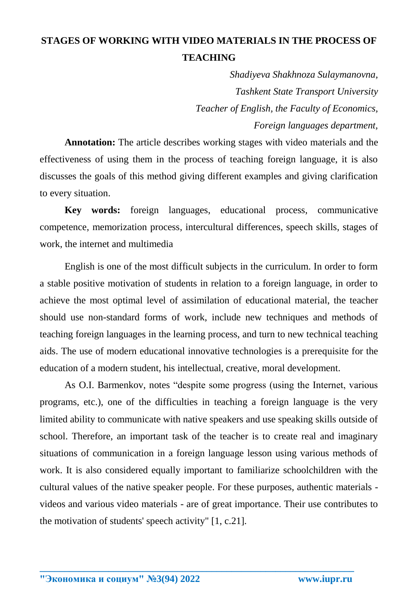## **STAGES OF WORKING WITH VIDEO MATERIALS IN THE PROCESS OF TEACHING**

*Shadiyeva Shakhnoza Sulaymanovna, Tashkent State Transport University Teacher of English, the Faculty of Economics, Foreign languages department,* 

**Annotation:** The article describes working stages with video materials and the effectiveness of using them in the process of teaching foreign language, it is also discusses the goals of this method giving different examples and giving clarification to every situation.

**Key words:** foreign languages, educational process, communicative competence, memorization process, intercultural differences, speech skills, stages of work, the internet and multimedia

English is one of the most difficult subjects in the curriculum. In order to form a stable positive motivation of students in relation to a foreign language, in order to achieve the most optimal level of assimilation of educational material, the teacher should use non-standard forms of work, include new techniques and methods of teaching foreign languages in the learning process, and turn to new technical teaching aids. The use of modern educational innovative technologies is a prerequisite for the education of a modern student, his intellectual, creative, moral development.

As O.I. Barmenkov, notes "despite some progress (using the Internet, various programs, etc.), one of the difficulties in teaching a foreign language is the very limited ability to communicate with native speakers and use speaking skills outside of school. Therefore, an important task of the teacher is to create real and imaginary situations of communication in a foreign language lesson using various methods of work. It is also considered equally important to familiarize schoolchildren with the cultural values of the native speaker people. For these purposes, authentic materials videos and various video materials - are of great importance. Their use contributes to the motivation of students' speech activity" [1, c.21].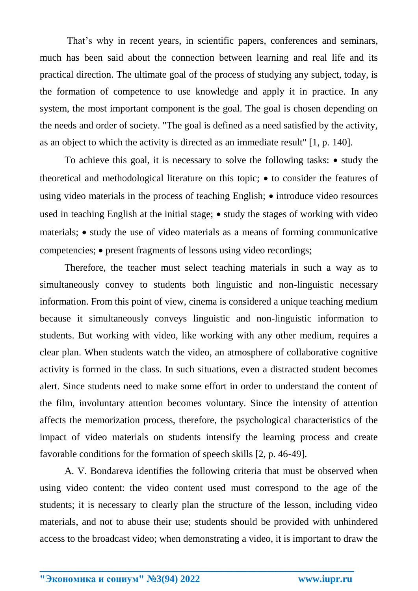That's why in recent years, in scientific papers, conferences and seminars, much has been said about the connection between learning and real life and its practical direction. The ultimate goal of the process of studying any subject, today, is the formation of competence to use knowledge and apply it in practice. In any system, the most important component is the goal. The goal is chosen depending on the needs and order of society. "The goal is defined as a need satisfied by the activity, as an object to which the activity is directed as an immediate result" [1, p. 140].

To achieve this goal, it is necessary to solve the following tasks:  $\bullet$  study the theoretical and methodological literature on this topic;  $\bullet$  to consider the features of using video materials in the process of teaching English;  $\bullet$  introduce video resources used in teaching English at the initial stage;  $\bullet$  study the stages of working with video materials;  $\bullet$  study the use of video materials as a means of forming communicative competencies;  $\bullet$  present fragments of lessons using video recordings;

Therefore, the teacher must select teaching materials in such a way as to simultaneously convey to students both linguistic and non-linguistic necessary information. From this point of view, cinema is considered a unique teaching medium because it simultaneously conveys linguistic and non-linguistic information to students. But working with video, like working with any other medium, requires a clear plan. When students watch the video, an atmosphere of collaborative cognitive activity is formed in the class. In such situations, even a distracted student becomes alert. Since students need to make some effort in order to understand the content of the film, involuntary attention becomes voluntary. Since the intensity of attention affects the memorization process, therefore, the psychological characteristics of the impact of video materials on students intensify the learning process and create favorable conditions for the formation of speech skills [2, p. 46-49].

A. V. Bondareva identifies the following criteria that must be observed when using video content: the video content used must correspond to the age of the students; it is necessary to clearly plan the structure of the lesson, including video materials, and not to abuse their use; students should be provided with unhindered access to the broadcast video; when demonstrating a video, it is important to draw the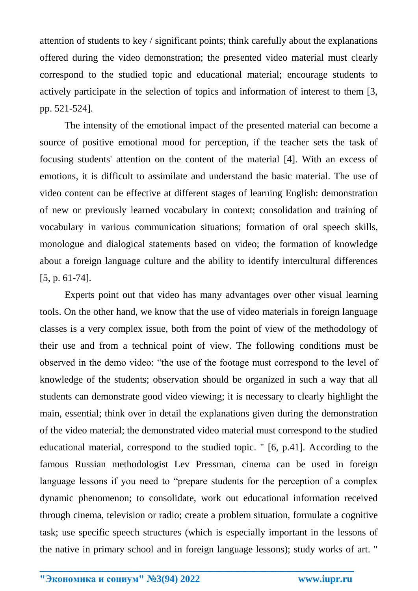attention of students to key / significant points; think carefully about the explanations offered during the video demonstration; the presented video material must clearly correspond to the studied topic and educational material; encourage students to actively participate in the selection of topics and information of interest to them [3, pp. 521-524].

The intensity of the emotional impact of the presented material can become a source of positive emotional mood for perception, if the teacher sets the task of focusing students' attention on the content of the material [4]. With an excess of emotions, it is difficult to assimilate and understand the basic material. The use of video content can be effective at different stages of learning English: demonstration of new or previously learned vocabulary in context; consolidation and training of vocabulary in various communication situations; formation of oral speech skills, monologue and dialogical statements based on video; the formation of knowledge about a foreign language culture and the ability to identify intercultural differences [5, p. 61-74].

Experts point out that video has many advantages over other visual learning tools. On the other hand, we know that the use of video materials in foreign language classes is a very complex issue, both from the point of view of the methodology of their use and from a technical point of view. The following conditions must be observed in the demo video: "the use of the footage must correspond to the level of knowledge of the students; observation should be organized in such a way that all students can demonstrate good video viewing; it is necessary to clearly highlight the main, essential; think over in detail the explanations given during the demonstration of the video material; the demonstrated video material must correspond to the studied educational material, correspond to the studied topic. " [6, p.41]. According to the famous Russian methodologist Lev Pressman, cinema can be used in foreign language lessons if you need to "prepare students for the perception of a complex dynamic phenomenon; to consolidate, work out educational information received through cinema, television or radio; create a problem situation, formulate a cognitive task; use specific speech structures (which is especially important in the lessons of the native in primary school and in foreign language lessons); study works of art. "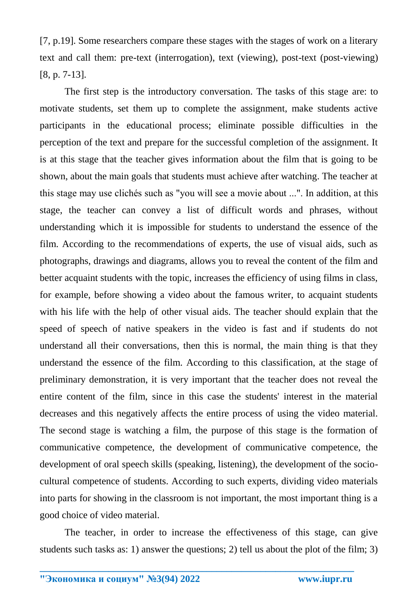[7, p.19]. Some researchers compare these stages with the stages of work on a literary text and call them: pre-text (interrogation), text (viewing), post-text (post-viewing) [8, p. 7-13].

The first step is the introductory conversation. The tasks of this stage are: to motivate students, set them up to complete the assignment, make students active participants in the educational process; eliminate possible difficulties in the perception of the text and prepare for the successful completion of the assignment. It is at this stage that the teacher gives information about the film that is going to be shown, about the main goals that students must achieve after watching. The teacher at this stage may use clichés such as "you will see a movie about ...". In addition, at this stage, the teacher can convey a list of difficult words and phrases, without understanding which it is impossible for students to understand the essence of the film. According to the recommendations of experts, the use of visual aids, such as photographs, drawings and diagrams, allows you to reveal the content of the film and better acquaint students with the topic, increases the efficiency of using films in class, for example, before showing a video about the famous writer, to acquaint students with his life with the help of other visual aids. The teacher should explain that the speed of speech of native speakers in the video is fast and if students do not understand all their conversations, then this is normal, the main thing is that they understand the essence of the film. According to this classification, at the stage of preliminary demonstration, it is very important that the teacher does not reveal the entire content of the film, since in this case the students' interest in the material decreases and this negatively affects the entire process of using the video material. The second stage is watching a film, the purpose of this stage is the formation of communicative competence, the development of communicative competence, the development of oral speech skills (speaking, listening), the development of the sociocultural competence of students. According to such experts, dividing video materials into parts for showing in the classroom is not important, the most important thing is a good choice of video material.

The teacher, in order to increase the effectiveness of this stage, can give students such tasks as: 1) answer the questions; 2) tell us about the plot of the film; 3)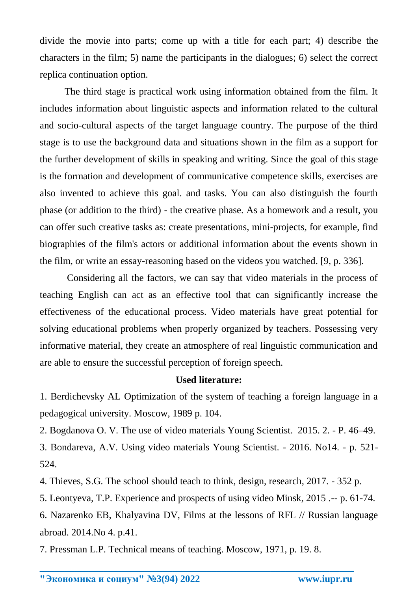divide the movie into parts; come up with a title for each part; 4) describe the characters in the film; 5) name the participants in the dialogues; 6) select the correct replica continuation option.

The third stage is practical work using information obtained from the film. It includes information about linguistic aspects and information related to the cultural and socio-cultural aspects of the target language country. The purpose of the third stage is to use the background data and situations shown in the film as a support for the further development of skills in speaking and writing. Since the goal of this stage is the formation and development of communicative competence skills, exercises are also invented to achieve this goal. and tasks. You can also distinguish the fourth phase (or addition to the third) - the creative phase. As a homework and a result, you can offer such creative tasks as: create presentations, mini-projects, for example, find biographies of the film's actors or additional information about the events shown in the film, or write an essay-reasoning based on the videos you watched. [9, p. 336].

Considering all the factors, we can say that video materials in the process of teaching English can act as an effective tool that can significantly increase the effectiveness of the educational process. Video materials have great potential for solving educational problems when properly organized by teachers. Possessing very informative material, they create an atmosphere of real linguistic communication and are able to ensure the successful perception of foreign speech.

## **Used literature:**

1. Berdichevsky AL Optimization of the system of teaching a foreign language in a pedagogical university. Moscow, 1989 p. 104.

2. Bogdanova O. V. The use of video materials Young Scientist. 2015. 2. - P. 46–49.

3. Bondareva, A.V. Using video materials Young Scientist. - 2016. No14. - p. 521- 524.

4. Thieves, S.G. The school should teach to think, design, research, 2017. - 352 p.

5. Leontyeva, T.P. Experience and prospects of using video Minsk, 2015 .-- p. 61-74.

6. Nazarenko EB, Khalyavina DV, Films at the lessons of RFL // Russian language abroad. 2014.No 4. p.41.

7. Pressman L.P. Technical means of teaching. Moscow, 1971, p. 19. 8.